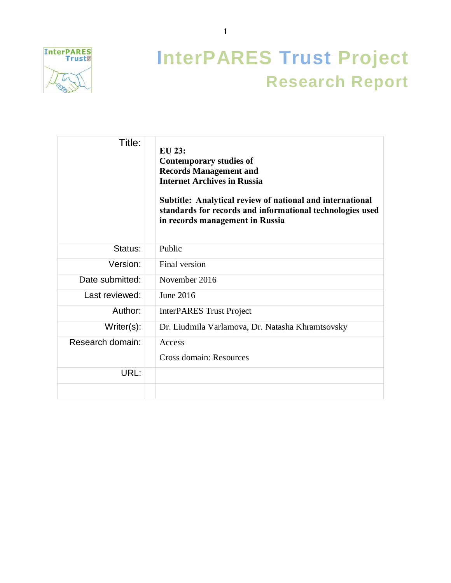

# **InterPARES Trust Project Research Report**

| Title:           | EU 23:<br><b>Contemporary studies of</b><br><b>Records Management and</b><br><b>Internet Archives in Russia</b><br>Subtitle: Analytical review of national and international<br>standards for records and informational technologies used<br>in records management in Russia |
|------------------|------------------------------------------------------------------------------------------------------------------------------------------------------------------------------------------------------------------------------------------------------------------------------|
| Status:          | Public                                                                                                                                                                                                                                                                       |
| Version:         | Final version                                                                                                                                                                                                                                                                |
| Date submitted:  | November 2016                                                                                                                                                                                                                                                                |
| Last reviewed:   | June 2016                                                                                                                                                                                                                                                                    |
| Author:          | <b>InterPARES Trust Project</b>                                                                                                                                                                                                                                              |
| Writer(s):       | Dr. Liudmila Varlamova, Dr. Natasha Khramtsovsky                                                                                                                                                                                                                             |
| Research domain: | Access<br>Cross domain: Resources                                                                                                                                                                                                                                            |
| URL:             |                                                                                                                                                                                                                                                                              |
|                  |                                                                                                                                                                                                                                                                              |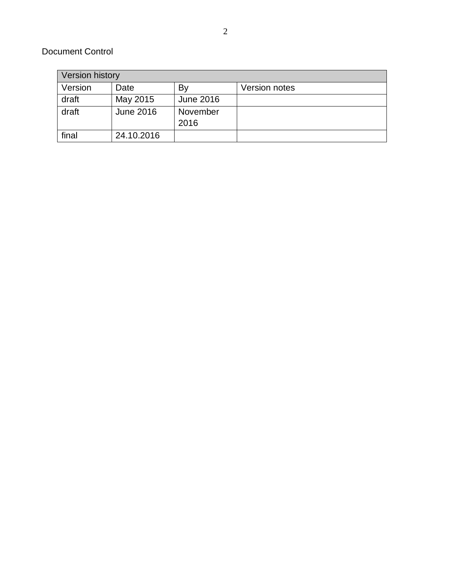### Document Control

| Version history |                  |                  |               |
|-----------------|------------------|------------------|---------------|
| Version         | Date             | By               | Version notes |
| draft           | May 2015         | <b>June 2016</b> |               |
| draft           | <b>June 2016</b> | November         |               |
|                 |                  | 2016             |               |
| final           | 24.10.2016       |                  |               |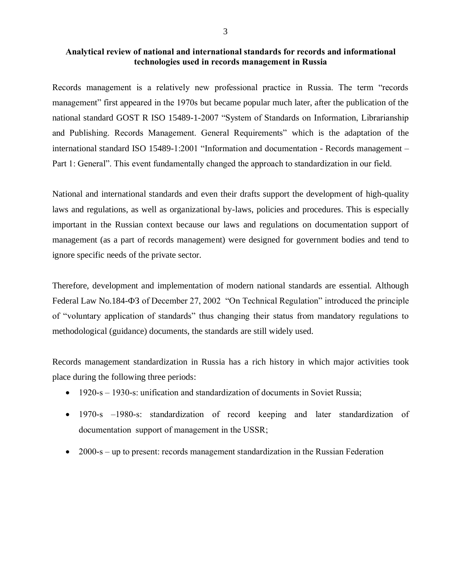### **Analytical review of national and international standards for records and informational technologies used in records management in Russia**

Records management is a relatively new professional practice in Russia. The term "records management" first appeared in the 1970s but became popular much later, after the publication of the national standard GOST R ISO 15489-1-2007 "System of Standards on Information, Librarianship and Publishing. Records Management. General Requirements" which is the adaptation of the international standard ISO 15489-1:2001 "Information and documentation - Records management – Part 1: General". This event fundamentally changed the approach to standardization in our field.

National and international standards and even their drafts support the development of high-quality laws and regulations, as well as organizational by-laws, policies and procedures. This is especially important in the Russian context because our laws and regulations on documentation support of management (as a part of records management) were designed for government bodies and tend to ignore specific needs of the private sector.

Therefore, development and implementation of modern national standards are essential. Although Federal Law No.184-ФЗ of December 27, 2002 "On Technical Regulation" introduced the principle of "voluntary application of standards" thus changing their status from mandatory regulations to methodological (guidance) documents, the standards are still widely used.

Records management standardization in Russia has a rich history in which major activities took place during the following three periods:

- 1920-s 1930-s: unification and standardization of documents in Soviet Russia;
- 1970-s –1980-s: standardization of record keeping and later standardization of documentation support of management in the USSR;
- 2000-s up to present: records management standardization in the Russian Federation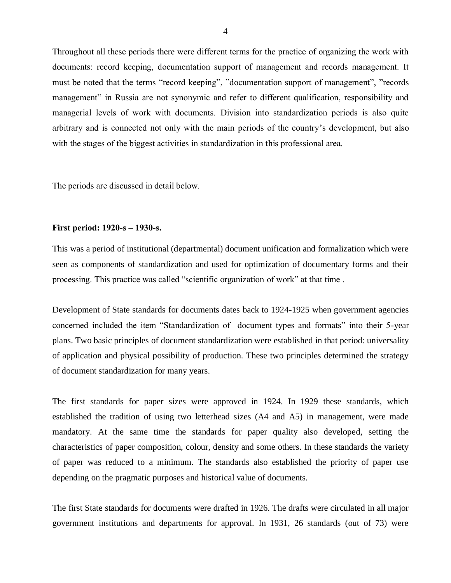Throughout all these periods there were different terms for the practice of organizing the work with documents: record keeping, documentation support of management and records management. It must be noted that the terms "record keeping", "documentation support of management", "records management" in Russia are not synonymic and refer to different qualification, responsibility and managerial levels of work with documents*.* Division into standardization periods is also quite arbitrary and is connected not only with the main periods of the country's development, but also with the stages of the biggest activities in standardization in this professional area.

The periods are discussed in detail below.

#### **First period: 1920-s – 1930-s.**

This was a period of institutional (departmental) document unification and formalization which were seen as components of standardization and used for optimization of documentary forms and their processing. This practice was called "scientific organization of work" at that time .

Development of State standards for documents dates back to 1924-1925 when government agencies concerned included the item "Standardization of document types and formats" into their 5-year plans. Two basic principles of document standardization were established in that period: universality of application and physical possibility of production. These two principles determined the strategy of document standardization for many years.

The first standards for paper sizes were approved in 1924. In 1929 these standards, which established the tradition of using two letterhead sizes (A4 and A5) in management, were made mandatory. At the same time the standards for paper quality also developed, setting the characteristics of paper composition, colour, density and some others. In these standards the variety of paper was reduced to a minimum. The standards also established the priority of paper use depending on the pragmatic purposes and historical value of documents.

The first State standards for documents were drafted in 1926. The drafts were circulated in all major government institutions and departments for approval. In 1931, 26 standards (out of 73) were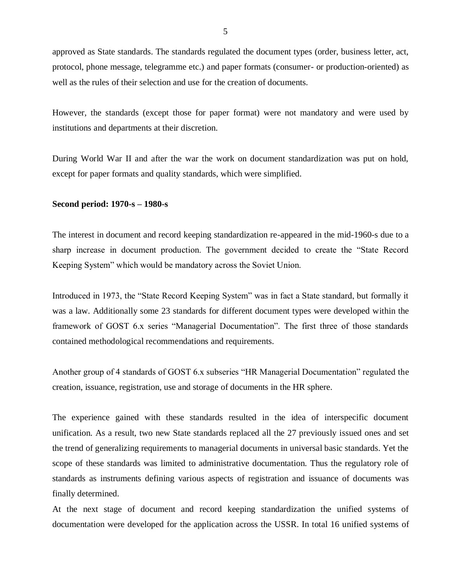approved as State standards. The standards regulated the document types (order, business letter, act, protocol, phone message, telegramme etc.) and paper formats (consumer- or production-oriented) as well as the rules of their selection and use for the creation of documents.

However, the standards (except those for paper format) were not mandatory and were used by institutions and departments at their discretion.

During World War II and after the war the work on document standardization was put on hold, except for paper formats and quality standards, which were simplified.

#### **Second period: 1970-s – 1980-s**

The interest in document and record keeping standardization re-appeared in the mid-1960-s due to a sharp increase in document production. The government decided to create the "State Record Keeping System" which would be mandatory across the Soviet Union.

Introduced in 1973, the "State Record Keeping System" was in fact a State standard, but formally it was a law. Additionally some 23 standards for different document types were developed within the framework of GOST 6.x series "Managerial Documentation". The first three of those standards contained methodological recommendations and requirements.

Another group of 4 standards of GOST 6.x subseries "HR Managerial Documentation" regulated the creation, issuance, registration, use and storage of documents in the HR sphere.

The experience gained with these standards resulted in the idea of interspecific document unification. As a result, two new State standards replaced all the 27 previously issued ones and set the trend of generalizing requirements to managerial documents in universal basic standards. Yet the scope of these standards was limited to administrative documentation. Thus the regulatory role of standards as instruments defining various aspects of registration and issuance of documents was finally determined.

At the next stage of document and record keeping standardization the unified systems of documentation were developed for the application across the USSR. In total 16 unified systems of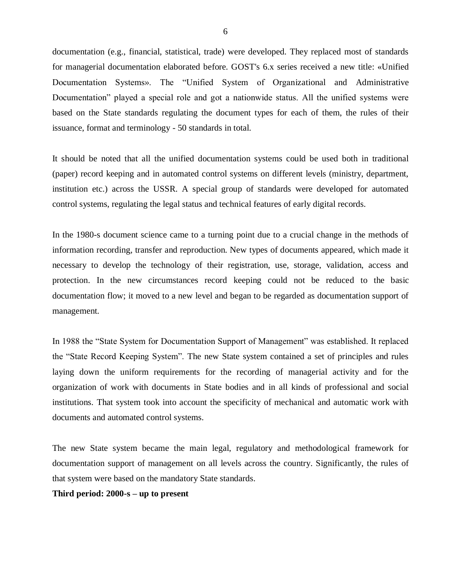documentation (e.g., financial, statistical, trade) were developed. They replaced most of standards for managerial documentation elaborated before. GOST's 6.x series received a new title: «Unified Documentation Systems». The "Unified System of Organizational and Administrative Documentation" played a special role and got a nationwide status. All the unified systems were based on the State standards regulating the document types for each of them, the rules of their issuance, format and terminology - 50 standards in total.

It should be noted that all the unified documentation systems could be used both in traditional (paper) record keeping and in automated control systems on different levels (ministry, department, institution etc.) across the USSR. A special group of standards were developed for automated control systems, regulating the legal status and technical features of early digital records.

In the 1980-s document science came to a turning point due to a crucial change in the methods of information recording, transfer and reproduction. New types of documents appeared, which made it necessary to develop the technology of their registration, use, storage, validation, access and protection. In the new circumstances record keeping could not be reduced to the basic documentation flow; it moved to a new level and began to be regarded as documentation support of management.

In 1988 the "State System for Documentation Support of Management" was established. It replaced the "State Record Keeping System". The new State system contained a set of principles and rules laying down the uniform requirements for the recording of managerial activity and for the organization of work with documents in State bodies and in all kinds of professional and social institutions. That system took into account the specificity of mechanical and automatic work with documents and automated control systems.

The new State system became the main legal, regulatory and methodological framework for documentation support of management on all levels across the country. Significantly, the rules of that system were based on the mandatory State standards.

**Third period: 2000-s – up to present**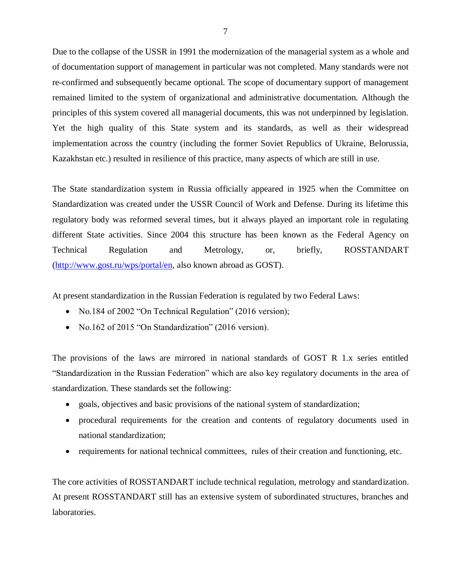Due to the collapse of the USSR in 1991 the modernization of the managerial system as a whole and of documentation support of management in particular was not completed. Many standards were not re-confirmed and subsequently became optional. The scope of documentary support of management remained limited to the system of organizational and administrative documentation*.* Although the principles of this system covered all managerial documents, this was not underpinned by legislation. Yet the high quality of this State system and its standards, as well as their widespread implementation across the country (including the former Soviet Republics of Ukraine, Belorussia, Kazakhstan etc.) resulted in resilience of this practice, many aspects of which are still in use.

The State standardization system in Russia officially appeared in 1925 when the Committee on Standardization was created under the USSR Council of Work and Defense. During its lifetime this regulatory body was reformed several times, but it always played an important role in regulating different State activities. Since 2004 this structure has been known as the Federal Agency on Technical Regulation and Metrology, or, briefly, ROSSTANDART [\(http://www.gost.ru/wps/portal/en,](http://www.gost.ru/wps/portal/en) also known abroad as GOST).

At present standardization in the Russian Federation is regulated by two Federal Laws:

- No.184 of 2002 "On Technical Regulation" (2016 version);
- No.162 of 2015 "On Standardization" (2016 version).

The provisions of the laws are mirrored in national standards of GOST R 1.x series entitled "Standardization in the Russian Federation" which are also key regulatory documents in the area of standardization. These standards set the following:

- goals, objectives and basic provisions of the national system of standardization;
- procedural requirements for the creation and contents of regulatory documents used in national standardization;
- requirements for national technical committees, rules of their creation and functioning, etc.

The core activities of ROSSTANDART include technical regulation, metrology and standardization. At present ROSSTANDART still has an extensive system of subordinated structures, branches and laboratories.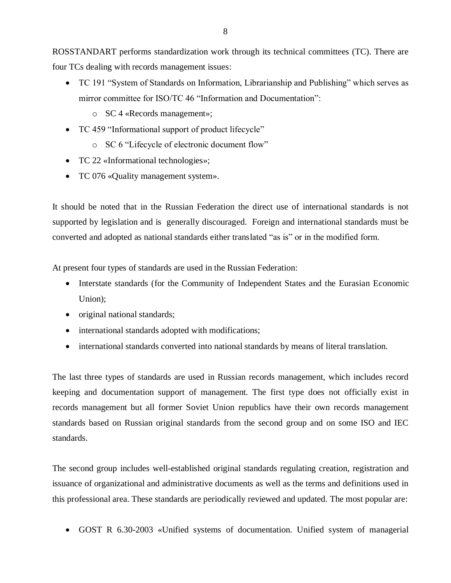ROSSTANDART performs standardization work through its technical committees (TC). There are four TCs dealing with records management issues:

- TC 191 "System of Standards on Information, Librarianship and Publishing" which serves as mirror committee for ISO/TC 46 "Information and Documentation":
	- o SC 4 «Records management»;
- TC 459 "Informational support of product lifecycle"
	- o SC 6 "Lifecycle of electronic document flow"
- TC 22 «Informational technologies»;
- TC 076 «Quality management system».

It should be noted that in the Russian Federation the direct use of international standards is not supported by legislation and is generally discouraged. Foreign and international standards must be converted and adopted as national standards either translated "as is" or in the modified form.

At present four types of standards are used in the Russian Federation:

- Interstate standards (for the Community of Independent States and the Eurasian Economic Union);
- original national standards;
- international standards adopted with modifications;
- international standards converted into national standards by means of literal translation.

The last three types of standards are used in Russian records management, which includes record keeping and documentation support of management. The first type does not officially exist in records management but all former Soviet Union republics have their own records management standards based on Russian original standards from the second group and on some ISO and IEC standards.

The second group includes well-established original standards regulating creation, registration and issuance of organizational and administrative documents as well as the terms and definitions used in this professional area. These standards are periodically reviewed and updated. The most popular are:

• GOST R 6.30-2003 «Unified systems of documentation. Unified system of managerial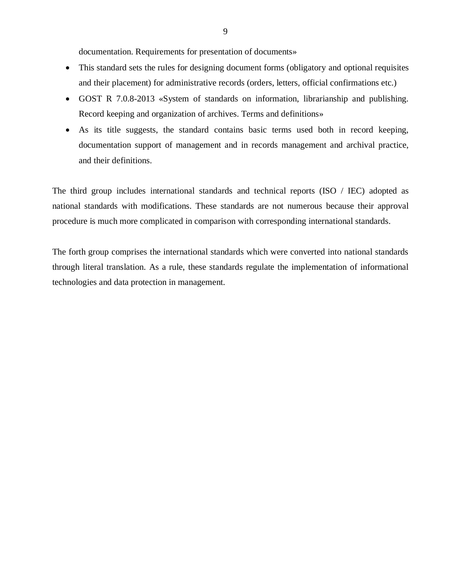documentation. Requirements for presentation of documents»

- This standard sets the rules for designing document forms (obligatory and optional requisites and their placement) for administrative records (orders, letters, official confirmations etc.)
- GOST R 7.0.8-2013 «System of standards on information, librarianship and publishing. Record keeping and organization of archives. Terms and definitions»
- As its title suggests, the standard contains basic terms used both in record keeping, documentation support of management and in records management and archival practice, and their definitions.

The third group includes international standards and technical reports (ISO / IEC) adopted as national standards with modifications. These standards are not numerous because their approval procedure is much more complicated in comparison with corresponding international standards.

The forth group comprises the international standards which were converted into national standards through literal translation. As a rule, these standards regulate the implementation of informational technologies and data protection in management.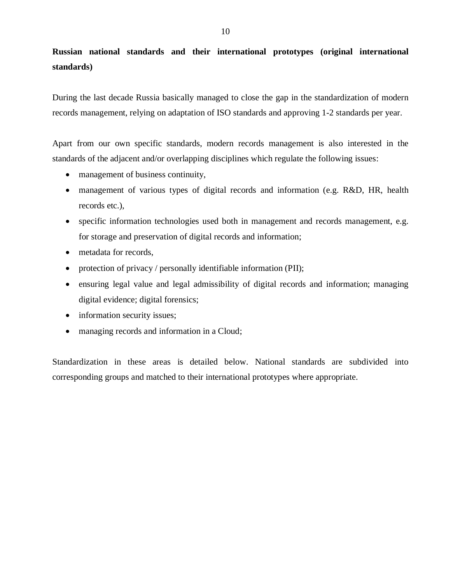## **Russian national standards and their international prototypes (original international standards)**

During the last decade Russia basically managed to close the gap in the standardization of modern records management, relying on adaptation of ISO standards and approving 1-2 standards per year.

Apart from our own specific standards, modern records management is also interested in the standards of the adjacent and/or overlapping disciplines which regulate the following issues:

- management of business continuity,
- management of various types of digital records and information (e.g. R&D, HR, health records etc.),
- specific information technologies used both in management and records management, e.g. for storage and preservation of digital records and information;
- metadata for records.
- protection of privacy / personally identifiable information (PII);
- ensuring legal value and legal admissibility of digital records and information; managing digital evidence; digital forensics;
- information security issues;
- managing records and information in a Cloud;

Standardization in these areas is detailed below. National standards are subdivided into corresponding groups and matched to their international prototypes where appropriate.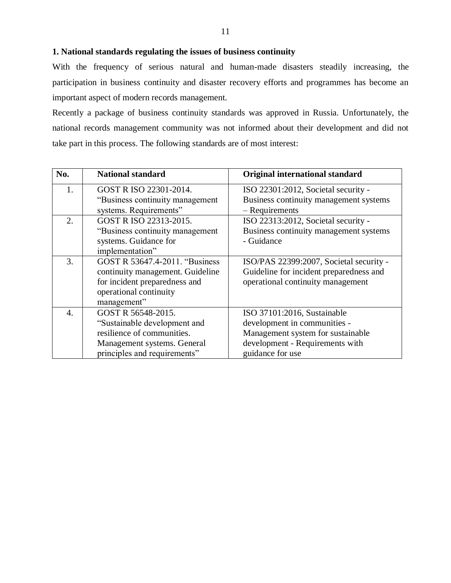### **1. National standards regulating the issues of business continuity**

With the frequency of serious natural and human-made disasters steadily increasing, the participation in business continuity and disaster recovery efforts and programmes has become an important aspect of modern records management.

Recently a package of business continuity standards was approved in Russia. Unfortunately, the national records management community was not informed about their development and did not take part in this process. The following standards are of most interest:

| No.                   | <b>National standard</b>         | Original international standard         |
|-----------------------|----------------------------------|-----------------------------------------|
| 1.                    | GOST R ISO 22301-2014.           | ISO 22301:2012, Societal security -     |
|                       | "Business continuity management" | Business continuity management systems  |
|                       | systems. Requirements"           | - Requirements                          |
| 2.                    | GOST R ISO 22313-2015.           | ISO 22313:2012, Societal security -     |
|                       | "Business continuity management" | Business continuity management systems  |
|                       | systems. Guidance for            | - Guidance                              |
|                       | implementation"                  |                                         |
| 3.                    | GOST R 53647.4-2011. "Business"  | ISO/PAS 22399:2007, Societal security - |
|                       | continuity management. Guideline | Guideline for incident preparedness and |
|                       | for incident preparedness and    | operational continuity management       |
|                       | operational continuity           |                                         |
|                       | management"                      |                                         |
| $\mathcal{A}_{\cdot}$ | GOST R 56548-2015.               | ISO 37101:2016, Sustainable             |
|                       | "Sustainable development and     | development in communities -            |
|                       | resilience of communities.       | Management system for sustainable       |
|                       | Management systems. General      | development - Requirements with         |
|                       | principles and requirements"     | guidance for use                        |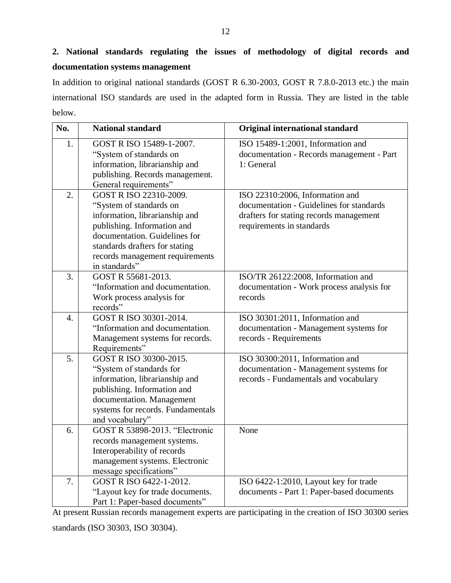# **2. National standards regulating the issues of methodology of digital records and documentation systems management**

In addition to original national standards (GOST R 6.30-2003, GOST R 7.8.0-2013 etc.) the main international ISO standards are used in the adapted form in Russia. They are listed in the table below.

| No.              | <b>National standard</b>                                                                                                                                                                                                                  | <b>Original international standard</b>                                                                                                              |
|------------------|-------------------------------------------------------------------------------------------------------------------------------------------------------------------------------------------------------------------------------------------|-----------------------------------------------------------------------------------------------------------------------------------------------------|
| 1.               | GOST R ISO 15489-1-2007.<br>"System of standards on<br>information, librarianship and<br>publishing. Records management.<br>General requirements"                                                                                         | ISO 15489-1:2001, Information and<br>documentation - Records management - Part<br>1: General                                                        |
| 2.               | GOST R ISO 22310-2009.<br>"System of standards on<br>information, librarianship and<br>publishing. Information and<br>documentation. Guidelines for<br>standards drafters for stating<br>records management requirements<br>in standards" | ISO 22310:2006, Information and<br>documentation - Guidelines for standards<br>drafters for stating records management<br>requirements in standards |
| 3.               | GOST R 55681-2013.<br>"Information and documentation.<br>Work process analysis for<br>records"                                                                                                                                            | ISO/TR 26122:2008, Information and<br>documentation - Work process analysis for<br>records                                                          |
| $\overline{4}$ . | GOST R ISO 30301-2014.<br>"Information and documentation.<br>Management systems for records.<br>Requirements"                                                                                                                             | ISO 30301:2011, Information and<br>documentation - Management systems for<br>records - Requirements                                                 |
| 5.               | GOST R ISO 30300-2015.<br>"System of standards for<br>information, librarianship and<br>publishing. Information and<br>documentation. Management<br>systems for records. Fundamentals<br>and vocabulary"                                  | ISO 30300:2011, Information and<br>documentation - Management systems for<br>records - Fundamentals and vocabulary                                  |
| 6.               | <b>GOST R 53898-2013. "Electronic</b><br>records management systems.<br>Interoperability of records<br>management systems. Electronic<br>message specifications"                                                                          | None                                                                                                                                                |
| 7.               | GOST R ISO 6422-1-2012.<br>"Layout key for trade documents.<br>Part 1: Paper-based documents"                                                                                                                                             | ISO 6422-1:2010, Layout key for trade<br>documents - Part 1: Paper-based documents                                                                  |

At present Russian records management experts are participating in the creation of ISO 30300 series standards (ISO 30303, ISO 30304).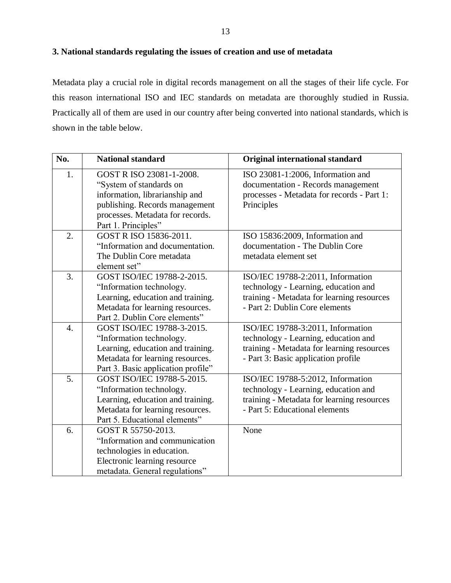### **3. National standards regulating the issues of creation and use of metadata**

Metadata play a crucial role in digital records management on all the stages of their life cycle. For this reason international ISO and IEC standards on metadata are thoroughly studied in Russia. Practically all of them are used in our country after being converted into national standards, which is shown in the table below.

| No. | <b>National standard</b>                                                                                                                                              | <b>Original international standard</b>                                                                                                                         |
|-----|-----------------------------------------------------------------------------------------------------------------------------------------------------------------------|----------------------------------------------------------------------------------------------------------------------------------------------------------------|
| 1.  | GOST R ISO 23081-1-2008.<br>"System of standards on<br>information, librarianship and<br>publishing. Records management<br>processes. Metadata for records.           | ISO 23081-1:2006, Information and<br>documentation - Records management<br>processes - Metadata for records - Part 1:<br>Principles                            |
|     | Part 1. Principles"                                                                                                                                                   |                                                                                                                                                                |
| 2.  | GOST R ISO 15836-2011.<br>"Information and documentation.<br>The Dublin Core metadata<br>element set"                                                                 | ISO 15836:2009, Information and<br>documentation - The Dublin Core<br>metadata element set                                                                     |
| 3.  | GOST ISO/IEC 19788-2-2015.<br>"Information technology.<br>Learning, education and training.<br>Metadata for learning resources.<br>Part 2. Dublin Core elements"      | ISO/IEC 19788-2:2011, Information<br>technology - Learning, education and<br>training - Metadata for learning resources<br>- Part 2: Dublin Core elements      |
| 4.  | GOST ISO/IEC 19788-3-2015.<br>"Information technology.<br>Learning, education and training.<br>Metadata for learning resources.<br>Part 3. Basic application profile" | ISO/IEC 19788-3:2011, Information<br>technology - Learning, education and<br>training - Metadata for learning resources<br>- Part 3: Basic application profile |
| 5.  | GOST ISO/IEC 19788-5-2015.<br>"Information technology.<br>Learning, education and training.<br>Metadata for learning resources.<br>Part 5. Educational elements"      | ISO/IEC 19788-5:2012, Information<br>technology - Learning, education and<br>training - Metadata for learning resources<br>- Part 5: Educational elements      |
| 6.  | GOST R 55750-2013.<br>"Information and communication<br>technologies in education.<br>Electronic learning resource<br>metadata. General regulations"                  | None                                                                                                                                                           |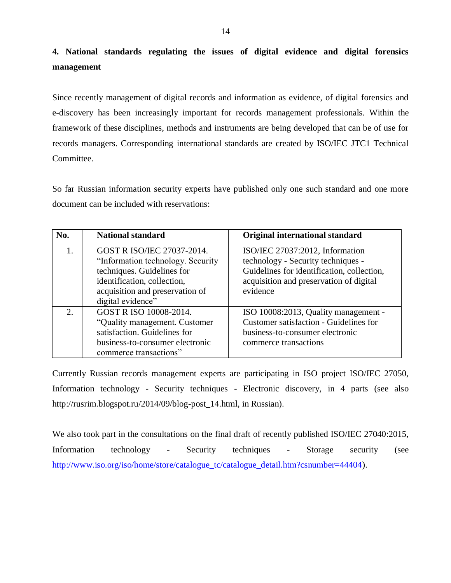# **4. National standards regulating the issues of digital evidence and digital forensics management**

Since recently management of digital records and information as evidence, of digital forensics and e-discovery has been increasingly important for records management professionals. Within the framework of these disciplines, methods and instruments are being developed that can be of use for records managers. Corresponding international standards are created by ISO/IEC JTC1 Technical Committee.

So far Russian information security experts have published only one such standard and one more document can be included with reservations:

| No.            | <b>National standard</b>                                                                                                                                                              | <b>Original international standard</b>                                                                                                                                     |
|----------------|---------------------------------------------------------------------------------------------------------------------------------------------------------------------------------------|----------------------------------------------------------------------------------------------------------------------------------------------------------------------------|
|                | GOST R ISO/IEC 27037-2014.<br>"Information technology. Security"<br>techniques. Guidelines for<br>identification, collection,<br>acquisition and preservation of<br>digital evidence" | ISO/IEC 27037:2012, Information<br>technology - Security techniques -<br>Guidelines for identification, collection,<br>acquisition and preservation of digital<br>evidence |
| $\mathfrak{D}$ | GOST R ISO 10008-2014.<br>"Quality management. Customer"<br>satisfaction. Guidelines for<br>business-to-consumer electronic<br>commerce transactions"                                 | ISO 10008:2013, Quality management -<br>Customer satisfaction - Guidelines for<br>business-to-consumer electronic<br>commerce transactions                                 |

Currently Russian records management experts are participating in ISO project ISO/IEC 27050, Information technology - Security techniques - Electronic discovery, in 4 parts (see also [http://rusrim.blogspot.ru/2014/09/blog-post\\_14.html,](http://rusrim.blogspot.ru/2014/09/blog-post_14.html) in Russian).

We also took part in the consultations on the final draft of recently published ISO/IEC 27040:2015, Information technology - Security techniques - Storage security (see [http://www.iso.org/iso/home/store/catalogue\\_tc/catalogue\\_detail.htm?csnumber=44404\)](http://www.iso.org/iso/home/store/catalogue_tc/catalogue_detail.htm?csnumber=44404).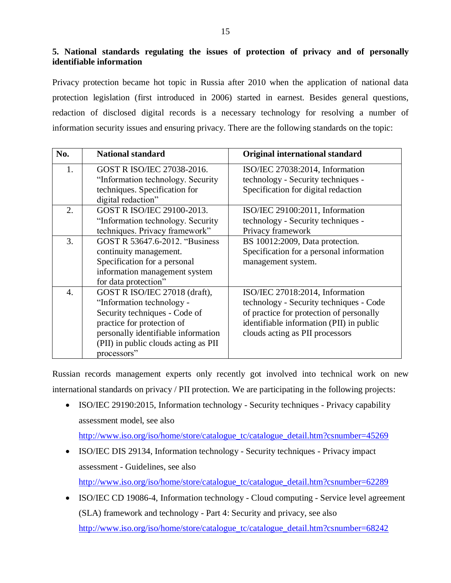**5. National standards regulating the issues of protection of privacy and of personally identifiable information**

Privacy protection became hot topic in Russia after 2010 when the application of national data protection legislation (first introduced in 2006) started in earnest. Besides general questions, redaction of disclosed digital records is a necessary technology for resolving a number of information security issues and ensuring privacy. There are the following standards on the topic:

| No. | <b>National standard</b>                                                                                                                                                                                                | <b>Original international standard</b>                                                                                                                                                                |
|-----|-------------------------------------------------------------------------------------------------------------------------------------------------------------------------------------------------------------------------|-------------------------------------------------------------------------------------------------------------------------------------------------------------------------------------------------------|
| 1.  | GOST R ISO/IEC 27038-2016.<br>"Information technology. Security"                                                                                                                                                        | ISO/IEC 27038:2014, Information<br>technology - Security techniques -                                                                                                                                 |
|     | techniques. Specification for<br>digital redaction"                                                                                                                                                                     | Specification for digital redaction                                                                                                                                                                   |
| 2.  | GOST R ISO/IEC 29100-2013.<br>"Information technology. Security<br>techniques. Privacy framework"                                                                                                                       | ISO/IEC 29100:2011, Information<br>technology - Security techniques -<br>Privacy framework                                                                                                            |
| 3.  | GOST R 53647.6-2012. "Business<br>continuity management.<br>Specification for a personal<br>information management system<br>for data protection"                                                                       | BS 10012:2009, Data protection.<br>Specification for a personal information<br>management system.                                                                                                     |
| 4.  | GOST R ISO/IEC 27018 (draft),<br>"Information technology -<br>Security techniques - Code of<br>practice for protection of<br>personally identifiable information<br>(PII) in public clouds acting as PII<br>processors" | ISO/IEC 27018:2014, Information<br>technology - Security techniques - Code<br>of practice for protection of personally<br>identifiable information (PII) in public<br>clouds acting as PII processors |

Russian records management experts only recently got involved into technical work on new international standards on privacy / PII protection. We are participating in the following projects:

• ISO/IEC 29190:2015, Information technology - Security techniques - Privacy capability assessment model, see also

[http://www.iso.org/iso/home/store/catalogue\\_tc/catalogue\\_detail.htm?csnumber=45269](http://www.iso.org/iso/home/store/catalogue_tc/catalogue_detail.htm?csnumber=45269)

- ISO/IEC DIS 29134, Information technology Security techniques Privacy impact assessment - Guidelines, see also [http://www.iso.org/iso/home/store/catalogue\\_tc/catalogue\\_detail.htm?csnumber=62289](http://www.iso.org/iso/home/store/catalogue_tc/catalogue_detail.htm?csnumber=62289)
- ISO/IEC CD 19086-4, Information technology Cloud computing Service level agreement (SLA) framework and technology - Part 4: Security and privacy, see also [http://www.iso.org/iso/home/store/catalogue\\_tc/catalogue\\_detail.htm?csnumber=68242](http://www.iso.org/iso/home/store/catalogue_tc/catalogue_detail.htm?csnumber=68242)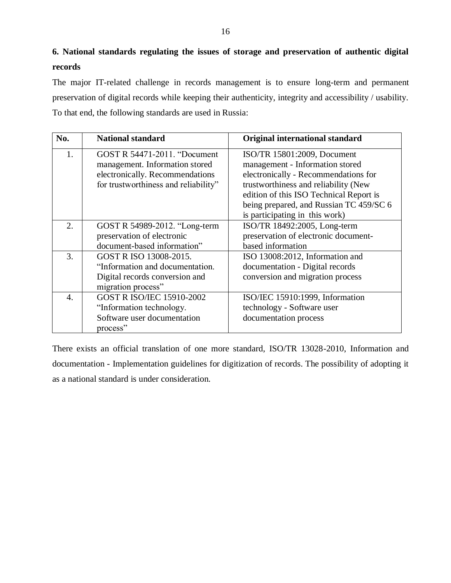# **6. National standards regulating the issues of storage and preservation of authentic digital records**

The major IT-related challenge in records management is to ensure long-term and permanent preservation of digital records while keeping their authenticity, integrity and accessibility / usability. To that end, the following standards are used in Russia:

| No. | <b>National standard</b>                                                                                                                         | Original international standard                                                                                                                                                                                                                                        |
|-----|--------------------------------------------------------------------------------------------------------------------------------------------------|------------------------------------------------------------------------------------------------------------------------------------------------------------------------------------------------------------------------------------------------------------------------|
| 1.  | <b>GOST R 54471-2011. "Document</b><br>management. Information stored<br>electronically. Recommendations<br>for trustworthiness and reliability" | ISO/TR 15801:2009, Document<br>management - Information stored<br>electronically - Recommendations for<br>trustworthiness and reliability (New<br>edition of this ISO Technical Report is<br>being prepared, and Russian TC 459/SC 6<br>is participating in this work) |
| 2.  | GOST R 54989-2012. "Long-term<br>preservation of electronic<br>document-based information"                                                       | ISO/TR 18492:2005, Long-term<br>preservation of electronic document-<br>based information                                                                                                                                                                              |
| 3.  | GOST R ISO 13008-2015.<br>"Information and documentation.<br>Digital records conversion and<br>migration process"                                | ISO 13008:2012, Information and<br>documentation - Digital records<br>conversion and migration process                                                                                                                                                                 |
| 4.  | <b>GOST R ISO/IEC 15910-2002</b><br>"Information technology.<br>Software user documentation<br>process"                                          | ISO/IEC 15910:1999, Information<br>technology - Software user<br>documentation process                                                                                                                                                                                 |

There exists an official translation of one more standard, ISO/TR 13028-2010, Information and documentation - Implementation guidelines for digitization of records. The possibility of adopting it as a national standard is under consideration.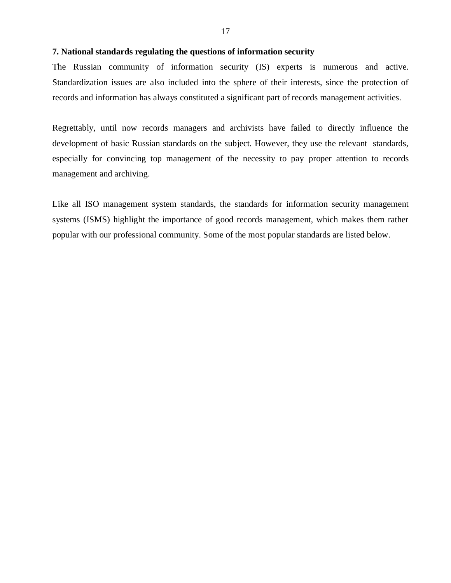#### **7. National standards regulating the questions of information security**

The Russian community of information security (IS) experts is numerous and active. Standardization issues are also included into the sphere of their interests, since the protection of records and information has always constituted a significant part of records management activities.

Regrettably, until now records managers and archivists have failed to directly influence the development of basic Russian standards on the subject. However, they use the relevant standards, especially for convincing top management of the necessity to pay proper attention to records management and archiving.

Like all ISO management system standards, the standards for information security management systems (ISMS) highlight the importance of good records management, which makes them rather popular with our professional community. Some of the most popular standards are listed below.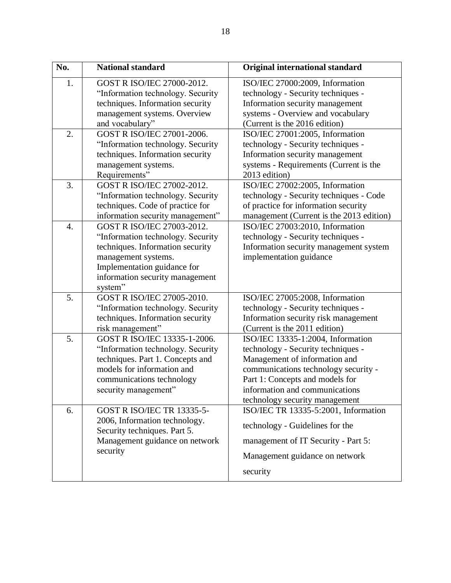| No. | <b>National standard</b>                                                                                                                                                                                | <b>Original international standard</b>                                                                                                                                                                                                                  |
|-----|---------------------------------------------------------------------------------------------------------------------------------------------------------------------------------------------------------|---------------------------------------------------------------------------------------------------------------------------------------------------------------------------------------------------------------------------------------------------------|
| 1.  | GOST R ISO/IEC 27000-2012.<br>"Information technology. Security<br>techniques. Information security<br>management systems. Overview<br>and vocabulary"                                                  | ISO/IEC 27000:2009, Information<br>technology - Security techniques -<br>Information security management<br>systems - Overview and vocabulary<br>(Current is the 2016 edition)                                                                          |
| 2.  | GOST R ISO/IEC 27001-2006.<br>"Information technology. Security<br>techniques. Information security<br>management systems.<br>Requirements"                                                             | ISO/IEC 27001:2005, Information<br>technology - Security techniques -<br>Information security management<br>systems - Requirements (Current is the<br>2013 edition)                                                                                     |
| 3.  | GOST R ISO/IEC 27002-2012.<br>"Information technology. Security<br>techniques. Code of practice for<br>information security management"                                                                 | ISO/IEC 27002:2005, Information<br>technology - Security techniques - Code<br>of practice for information security<br>management (Current is the 2013 edition)                                                                                          |
| 4.  | GOST R ISO/IEC 27003-2012.<br>"Information technology. Security<br>techniques. Information security<br>management systems.<br>Implementation guidance for<br>information security management<br>system" | ISO/IEC 27003:2010, Information<br>technology - Security techniques -<br>Information security management system<br>implementation guidance                                                                                                              |
| 5.  | GOST R ISO/IEC 27005-2010.<br>"Information technology. Security<br>techniques. Information security<br>risk management"                                                                                 | ISO/IEC 27005:2008, Information<br>technology - Security techniques -<br>Information security risk management<br>(Current is the 2011 edition)                                                                                                          |
| 5.  | GOST R ISO/IEC 13335-1-2006.<br>"Information technology. Security<br>techniques. Part 1. Concepts and<br>models for information and<br>communications technology<br>security management"                | ISO/IEC 13335-1:2004, Information<br>technology - Security techniques -<br>Management of information and<br>communications technology security -<br>Part 1: Concepts and models for<br>information and communications<br>technology security management |
| 6.  | <b>GOST R ISO/IEC TR 13335-5-</b><br>2006, Information technology.<br>Security techniques. Part 5.<br>Management guidance on network<br>security                                                        | ISO/IEC TR 13335-5:2001, Information<br>technology - Guidelines for the<br>management of IT Security - Part 5:<br>Management guidance on network<br>security                                                                                            |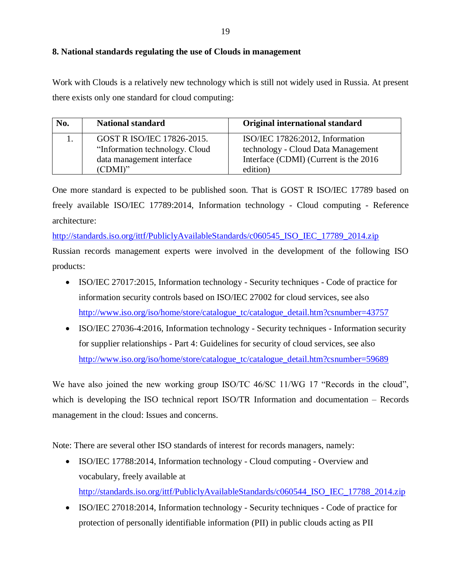### **8. National standards regulating the use of Clouds in management**

Work with Clouds is a relatively new technology which is still not widely used in Russia. At present there exists only one standard for cloud computing:

| No. | <b>National standard</b>       | Original international standard        |
|-----|--------------------------------|----------------------------------------|
|     | GOST R ISO/IEC 17826-2015.     | ISO/IEC 17826:2012, Information        |
|     | "Information technology. Cloud | technology - Cloud Data Management     |
|     | data management interface      | Interface (CDMI) (Current is the 2016) |
|     | (CDMI)"                        | edition)                               |

One more standard is expected to be published soon. That is GOST R ISO/IEC 17789 based on freely available ISO/IEC 17789:2014, Information technology - Cloud computing - Reference architecture:

[http://standards.iso.org/ittf/PubliclyAvailableStandards/c060545\\_ISO\\_IEC\\_17789\\_2014.zip](http://standards.iso.org/ittf/PubliclyAvailableStandards/c060545_ISO_IEC_17789_2014.zip)

Russian records management experts were involved in the development of the following ISO products:

- ISO/IEC 27017:2015, Information technology Security techniques Code of practice for information security controls based on ISO/IEC 27002 for cloud services, see also [http://www.iso.org/iso/home/store/catalogue\\_tc/catalogue\\_detail.htm?csnumber=43757](http://www.iso.org/iso/home/store/catalogue_tc/catalogue_detail.htm?csnumber=43757)
- ISO/IEC 27036-4:2016, Information technology Security techniques Information security for supplier relationships - Part 4: Guidelines for security of cloud services, see also [http://www.iso.org/iso/home/store/catalogue\\_tc/catalogue\\_detail.htm?csnumber=59689](http://www.iso.org/iso/home/store/catalogue_tc/catalogue_detail.htm?csnumber=59689)

We have also joined the new working group ISO/TC 46/SC 11/WG 17 "Records in the cloud", which is developing the ISO technical report ISO/TR Information and documentation – Records management in the cloud: Issues and concerns.

Note: There are several other ISO standards of interest for records managers, namely:

- ISO/IEC 17788:2014, Information technology Cloud computing Overview and vocabulary, freely available at [http://standards.iso.org/ittf/PubliclyAvailableStandards/c060544\\_ISO\\_IEC\\_17788\\_2014.zip](http://standards.iso.org/ittf/PubliclyAvailableStandards/c060544_ISO_IEC_17788_2014.zip)
- ISO/IEC 27018:2014, Information technology Security techniques Code of practice for protection of personally identifiable information (PII) in public clouds acting as PII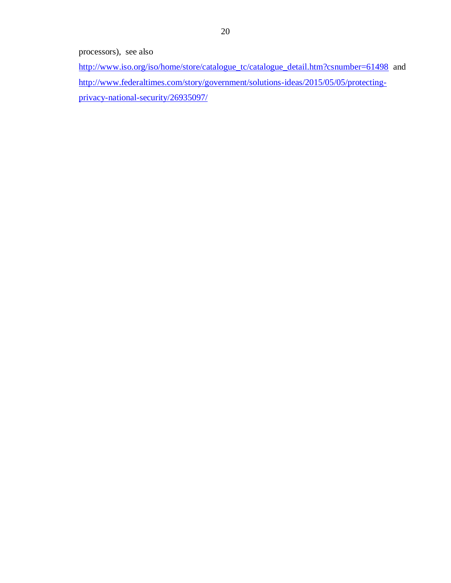processors), see also

[http://www.iso.org/iso/home/store/catalogue\\_tc/catalogue\\_detail.htm?csnumber=61498](http://www.iso.org/iso/home/store/catalogue_tc/catalogue_detail.htm?csnumber=61498) and [http://www.federaltimes.com/story/government/solutions-ideas/2015/05/05/protecting](http://www.federaltimes.com/story/government/solutions-ideas/2015/05/05/protecting-privacy-national-security/26935097/)[privacy-national-security/26935097/](http://www.federaltimes.com/story/government/solutions-ideas/2015/05/05/protecting-privacy-national-security/26935097/)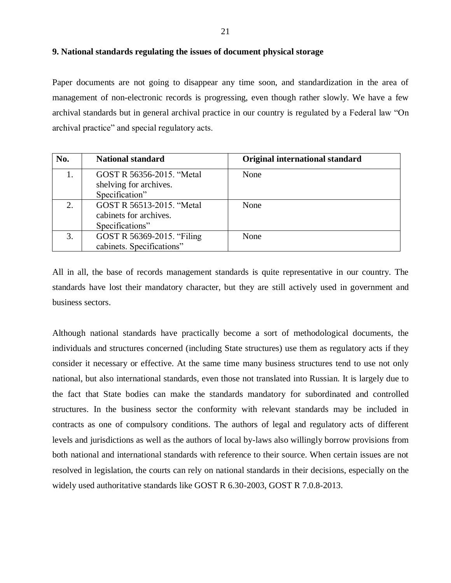#### **9. National standards regulating the issues of document physical storage**

Paper documents are not going to disappear any time soon, and standardization in the area of management of non-electronic records is progressing, even though rather slowly. We have a few archival standards but in general archival practice in our country is regulated by a Federal law "On archival practice" and special regulatory acts.

| No. | <b>National standard</b>                                               | <b>Original international standard</b> |
|-----|------------------------------------------------------------------------|----------------------------------------|
|     | GOST R 56356-2015. "Metal<br>shelving for archives.<br>Specification"  | None                                   |
| 2.  | GOST R 56513-2015. "Metal<br>cabinets for archives.<br>Specifications" | None                                   |
| 3.  | GOST R 56369-2015. "Filing<br>cabinets. Specifications"                | None                                   |

All in all, the base of records management standards is quite representative in our country. The standards have lost their mandatory character, but they are still actively used in government and business sectors.

Although national standards have practically become a sort of methodological documents, the individuals and structures concerned (including State structures) use them as regulatory acts if they consider it necessary or effective. At the same time many business structures tend to use not only national, but also international standards, even those not translated into Russian. It is largely due to the fact that State bodies can make the standards mandatory for subordinated and controlled structures. In the business sector the conformity with relevant standards may be included in contracts as one of compulsory conditions. The authors of legal and regulatory acts of different levels and jurisdictions as well as the authors of local by-laws also willingly borrow provisions from both national and international standards with reference to their source. When certain issues are not resolved in legislation, the courts can rely on national standards in their decisions, especially on the widely used authoritative standards like GOST R 6.30-2003, GOST R 7.0.8-2013.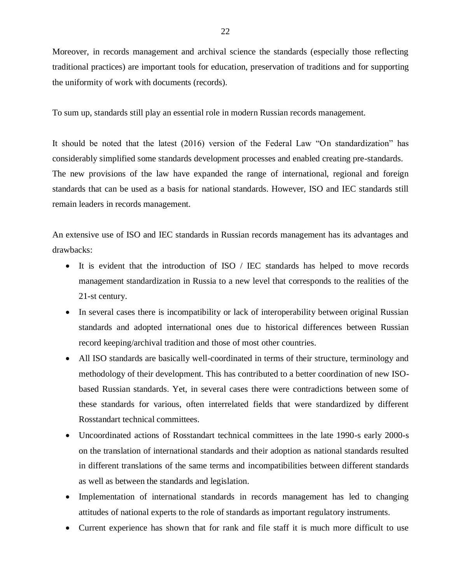Moreover, in records management and archival science the standards (especially those reflecting traditional practices) are important tools for education, preservation of traditions and for supporting the uniformity of work with documents (records).

To sum up, standards still play an essential role in modern Russian records management.

It should be noted that the latest (2016) version of the Federal Law "On standardization" has considerably simplified some standards development processes and enabled creating pre-standards. The new provisions of the law have expanded the range of international, regional and foreign standards that can be used as a basis for national standards. However, ISO and IEC standards still remain leaders in records management.

An extensive use of ISO and IEC standards in Russian records management has its advantages and drawbacks:

- It is evident that the introduction of ISO / IEC standards has helped to move records management standardization in Russia to a new level that corresponds to the realities of the 21-st century.
- In several cases there is incompatibility or lack of interoperability between original Russian standards and adopted international ones due to historical differences between Russian record keeping/archival tradition and those of most other countries.
- All ISO standards are basically well-coordinated in terms of their structure, terminology and methodology of their development. This has contributed to a better coordination of new ISObased Russian standards. Yet, in several cases there were contradictions between some of these standards for various, often interrelated fields that were standardized by different Rosstandart technical committees.
- Uncoordinated actions of Rosstandart technical committees in the late 1990-s early 2000-s on the translation of international standards and their adoption as national standards resulted in different translations of the same terms and incompatibilities between different standards as well as between the standards and legislation.
- Implementation of international standards in records management has led to changing attitudes of national experts to the role of standards as important regulatory instruments.
- Current experience has shown that for rank and file staff it is much more difficult to use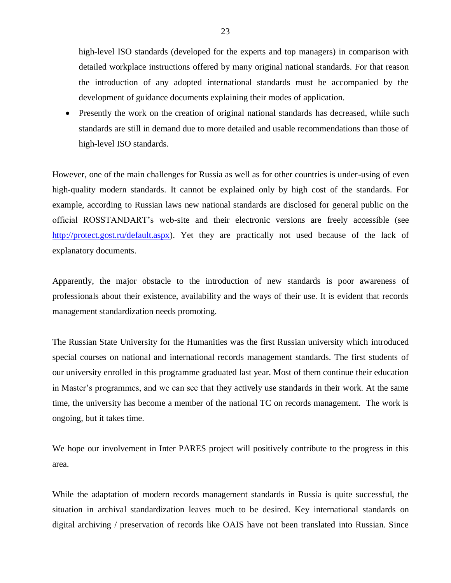high-level ISO standards (developed for the experts and top managers) in comparison with detailed workplace instructions offered by many original national standards. For that reason the introduction of any adopted international standards must be accompanied by the development of guidance documents explaining their modes of application.

• Presently the work on the creation of original national standards has decreased, while such standards are still in demand due to more detailed and usable recommendations than those of high-level ISO standards.

However, one of the main challenges for Russia as well as for other countries is under-using of even high-quality modern standards. It cannot be explained only by high cost of the standards. For example, according to Russian laws new national standards are disclosed for general public on the official ROSSTANDART's web-site and their electronic versions are freely accessible (see [http://protect.gost.ru/default.aspx\)](http://protect.gost.ru/default.aspx). Yet they are practically not used because of the lack of explanatory documents.

Apparently, the major obstacle to the introduction of new standards is poor awareness of professionals about their existence, availability and the ways of their use. It is evident that records management standardization needs promoting.

The Russian State University for the Humanities was the first Russian university which introduced special courses on national and international records management standards. The first students of our university enrolled in this programme graduated last year. Most of them continue their education in Master's programmes, and we can see that they actively use standards in their work. At the same time, the university has become a member of the national TC on records management. The work is ongoing, but it takes time.

We hope our involvement in Inter PARES project will positively contribute to the progress in this area.

While the adaptation of modern records management standards in Russia is quite successful, the situation in archival standardization leaves much to be desired. Key international standards on digital archiving / preservation of records like OAIS have not been translated into Russian. Since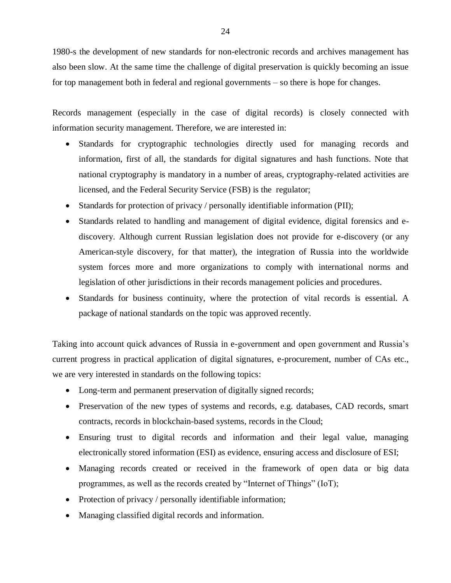1980-s the development of new standards for non-electronic records and archives management has also been slow. At the same time the challenge of digital preservation is quickly becoming an issue for top management both in federal and regional governments – so there is hope for changes.

Records management (especially in the case of digital records) is closely connected with information security management. Therefore, we are interested in:

- Standards for cryptographic technologies directly used for managing records and information, first of all, the standards for digital signatures and hash functions. Note that national cryptography is mandatory in a number of areas, cryptography-related activities are licensed, and the Federal Security Service (FSB) is the regulator;
- Standards for protection of privacy / personally identifiable information (PII);
- Standards related to handling and management of digital evidence, digital forensics and ediscovery. Although current Russian legislation does not provide for e-discovery (or any American-style discovery, for that matter), the integration of Russia into the worldwide system forces more and more organizations to comply with international norms and legislation of other jurisdictions in their records management policies and procedures.
- Standards for business continuity, where the protection of vital records is essential. A package of national standards on the topic was approved recently.

Taking into account quick advances of Russia in e-government and open government and Russia's current progress in practical application of digital signatures, e-procurement, number of CAs etc., we are very interested in standards on the following topics:

- Long-term and permanent preservation of digitally signed records;
- Preservation of the new types of systems and records, e.g. databases, CAD records, smart contracts, records in blockchain-based systems, records in the Cloud;
- Ensuring trust to digital records and information and their legal value, managing electronically stored information (ESI) as evidence, ensuring access and disclosure of ESI;
- Managing records created or received in the framework of open data or big data programmes, as well as the records created by "Internet of Things" (IoT);
- Protection of privacy / personally identifiable information;
- Managing classified digital records and information.